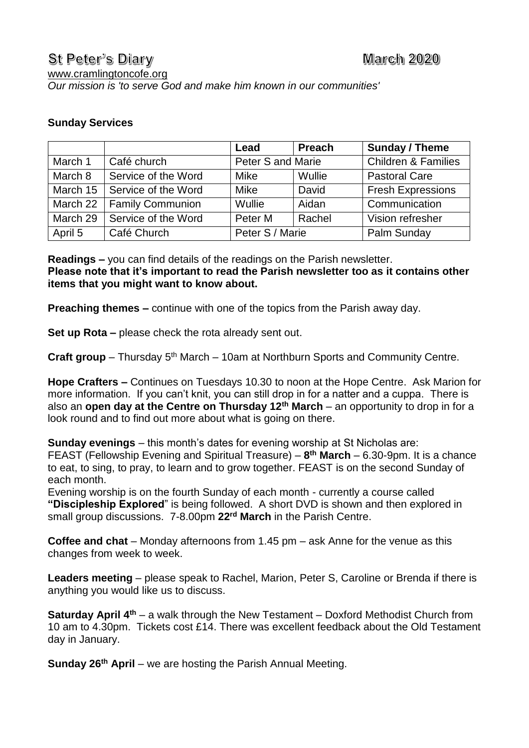## **Sunday Services**

|          |                             | Lead                     | <b>Preach</b> | Sunday / Theme                 |
|----------|-----------------------------|--------------------------|---------------|--------------------------------|
| March 1  | Café church                 | <b>Peter S and Marie</b> |               | <b>Children &amp; Families</b> |
| March 8  | Service of the Word         | <b>Mike</b>              | Wullie        | <b>Pastoral Care</b>           |
| March 15 | Service of the Word         | <b>Mike</b>              | David         | <b>Fresh Expressions</b>       |
|          | March 22   Family Communion | Wullie                   | Aidan         | Communication                  |
| March 29 | Service of the Word         | Peter M                  | Rachel        | Vision refresher               |
| April 5  | Café Church                 | Peter S / Marie          |               | Palm Sunday                    |

**Readings –** you can find details of the readings on the Parish newsletter. **Please note that it's important to read the Parish newsletter too as it contains other items that you might want to know about.**

**Preaching themes –** continue with one of the topics from the Parish away day.

**Set up Rota –** please check the rota already sent out.

**Craft group** – Thursday 5<sup>th</sup> March – 10am at Northburn Sports and Community Centre.

**Hope Crafters –** Continues on Tuesdays 10.30 to noon at the Hope Centre. Ask Marion for more information. If you can't knit, you can still drop in for a natter and a cuppa. There is also an **open day at the Centre on Thursday 12th March** – an opportunity to drop in for a look round and to find out more about what is going on there.

**Sunday evenings** – this month's dates for evening worship at St Nicholas are: FEAST (Fellowship Evening and Spiritual Treasure) – **8 th March** – 6.30-9pm. It is a chance to eat, to sing, to pray, to learn and to grow together. FEAST is on the second Sunday of each month.

Evening worship is on the fourth Sunday of each month - currently a course called **"Discipleship Explored**" is being followed. A short DVD is shown and then explored in small group discussions. 7-8.00pm **22rd March** in the Parish Centre.

**Coffee and chat** – Monday afternoons from 1.45 pm – ask Anne for the venue as this changes from week to week.

**Leaders meeting** – please speak to Rachel, Marion, Peter S, Caroline or Brenda if there is anything you would like us to discuss.

**Saturday April 4th** – a walk through the New Testament – Doxford Methodist Church from 10 am to 4.30pm. Tickets cost £14. There was excellent feedback about the Old Testament day in January.

**Sunday 26th April** – we are hosting the Parish Annual Meeting.